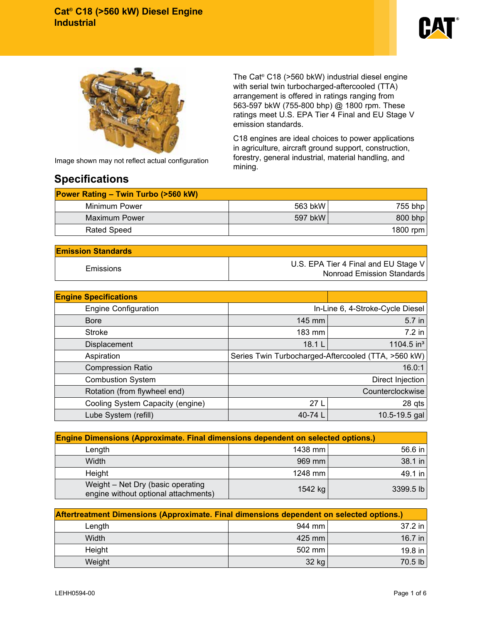



Image shown may not reflect actual configuration

## **Specifications**

The Cat® C18 (>560 bkW) industrial diesel engine with serial twin turbocharged-aftercooled (TTA) arrangement is offered in ratings ranging from 563-597 bkW (755-800 bhp) @ 1800 rpm. These ratings meet U.S. EPA Tier 4 Final and EU Stage V emission standards.

C18 engines are ideal choices to power applications in agriculture, aircraft ground support, construction, forestry, general industrial, material handling, and mining.

| <b>Power Rating – Twin Turbo (&gt;560 kW)</b> |                    |  |  |  |
|-----------------------------------------------|--------------------|--|--|--|
|                                               | 755 bhp            |  |  |  |
|                                               | 800 bhp            |  |  |  |
|                                               | 1800 rpm           |  |  |  |
|                                               | 563 bkW<br>597 bkW |  |  |  |

| <b>Emission Standards</b> |                                                                    |  |  |
|---------------------------|--------------------------------------------------------------------|--|--|
| Emissions                 | U.S. EPA Tier 4 Final and EU Stage V<br>Nonroad Emission Standards |  |  |

| <b>Engine Specifications</b>     |                                                     |                        |  |  |
|----------------------------------|-----------------------------------------------------|------------------------|--|--|
| <b>Engine Configuration</b>      | In-Line 6, 4-Stroke-Cycle Diesel                    |                        |  |  |
| <b>Bore</b>                      | 145 mm                                              | 5.7 in                 |  |  |
| <b>Stroke</b>                    | 183 mm                                              | 7.2 in                 |  |  |
| Displacement                     | 18.1 L                                              | 1104.5 in <sup>3</sup> |  |  |
| Aspiration                       | Series Twin Turbocharged-Aftercooled (TTA, >560 kW) |                        |  |  |
| <b>Compression Ratio</b>         | 16.0:1                                              |                        |  |  |
| <b>Combustion System</b>         | Direct Injection                                    |                        |  |  |
| Rotation (from flywheel end)     | Counterclockwise                                    |                        |  |  |
| Cooling System Capacity (engine) | 27 <sub>L</sub>                                     | $28$ qts               |  |  |
| Lube System (refill)             | 40-74 L                                             | 10.5-19.5 gal          |  |  |

| <b>Engine Dimensions (Approximate. Final dimensions dependent on selected options.)</b> |           |           |  |  |  |
|-----------------------------------------------------------------------------------------|-----------|-----------|--|--|--|
| Length                                                                                  | 1438 mm l | $56.6$ in |  |  |  |
| Width                                                                                   | 969 mm    | 38.1 in   |  |  |  |
| Height                                                                                  | 1248 mm   | 49.1 in   |  |  |  |
| Weight - Net Dry (basic operating<br>engine without optional attachments)               | 1542 kg   | 3399.5 lb |  |  |  |

| Aftertreatment Dimensions (Approximate. Final dimensions dependent on selected options.) |          |         |  |  |  |
|------------------------------------------------------------------------------------------|----------|---------|--|--|--|
| Length                                                                                   | 944 mm   | 37.2 in |  |  |  |
| Width                                                                                    | $425$ mm | 16.7 in |  |  |  |
| Height                                                                                   | $502$ mm | 19.8 in |  |  |  |
| Weight                                                                                   | 32 kg    | 70.5 lb |  |  |  |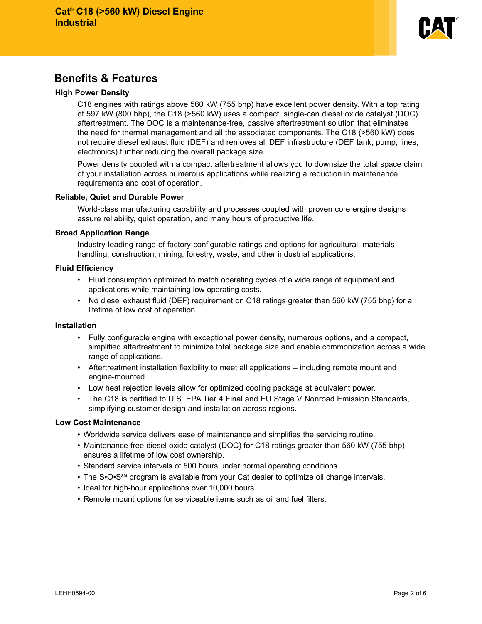

## **Benefits & Features**

#### **High Power Density**

C18 engines with ratings above 560 kW (755 bhp) have excellent power density. With a top rating of 597 kW (800 bhp), the C18 (>560 kW) uses a compact, single-can diesel oxide catalyst (DOC) aftertreatment. The DOC is a maintenance-free, passive aftertreatment solution that eliminates the need for thermal management and all the associated components. The C18 (>560 kW) does not require diesel exhaust fluid (DEF) and removes all DEF infrastructure (DEF tank, pump, lines, electronics) further reducing the overall package size.

Power density coupled with a compact aftertreatment allows you to downsize the total space claim of your installation across numerous applications while realizing a reduction in maintenance requirements and cost of operation.

#### **Reliable, Quiet and Durable Power**

World-class manufacturing capability and processes coupled with proven core engine designs assure reliability, quiet operation, and many hours of productive life.

#### **Broad Application Range**

Industry-leading range of factory configurable ratings and options for agricultural, materialshandling, construction, mining, forestry, waste, and other industrial applications.

#### **Fluid Efficiency**

- Fluid consumption optimized to match operating cycles of a wide range of equipment and applications while maintaining low operating costs.
- No diesel exhaust fluid (DEF) requirement on C18 ratings greater than 560 kW (755 bhp) for a lifetime of low cost of operation.

#### **Installation**

- Fully configurable engine with exceptional power density, numerous options, and a compact, simplified aftertreatment to minimize total package size and enable commonization across a wide range of applications.
- Aftertreatment installation flexibility to meet all applications including remote mount and engine-mounted.
- Low heat rejection levels allow for optimized cooling package at equivalent power.
- The C18 is certified to U.S. EPA Tier 4 Final and EU Stage V Nonroad Emission Standards, simplifying customer design and installation across regions.

## **Low Cost Maintenance**

- Worldwide service delivers ease of maintenance and simplifies the servicing routine.
- Maintenance-free diesel oxide catalyst (DOC) for C18 ratings greater than 560 kW (755 bhp) ensures a lifetime of low cost ownership.
- Standard service intervals of 500 hours under normal operating conditions.
- The S•O•S<sup>SM</sup> program is available from your Cat dealer to optimize oil change intervals.
- Ideal for high-hour applications over 10,000 hours.
- Remote mount options for serviceable items such as oil and fuel filters.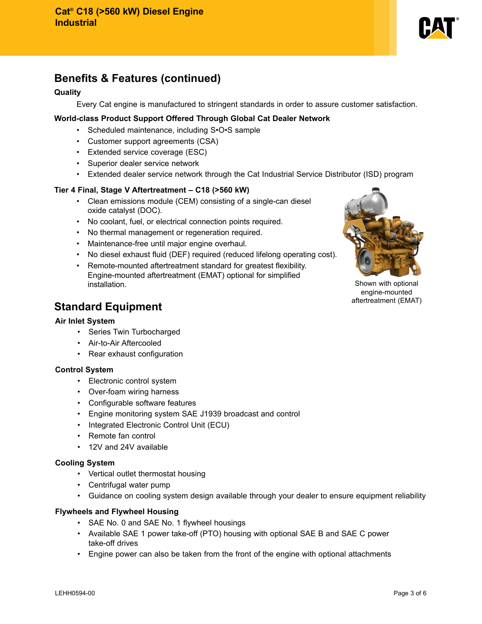

# **Benefits & Features (continued)**

## **Quality**

Every Cat engine is manufactured to stringent standards in order to assure customer satisfaction.

## **World-class Product Support Offered Through Global Cat Dealer Network**

- Scheduled maintenance, including S•O•S sample
- Customer support agreements (CSA)
- Extended service coverage (ESC)
- Superior dealer service network
- Extended dealer service network through the Cat Industrial Service Distributor (ISD) program

## **Tier 4 Final, Stage V Aftertreatment – C18 (>560 kW)**

- Clean emissions module (CEM) consisting of a single-can diesel oxide catalyst (DOC).
- No coolant, fuel, or electrical connection points required.
- No thermal management or regeneration required.
- Maintenance-free until major engine overhaul.
- No diesel exhaust fluid (DEF) required (reduced lifelong operating cost).
- Remote-mounted aftertreatment standard for greatest flexibility. Engine-mounted aftertreatment (EMAT) optional for simplified **installation.** Shown with optional contract the state of the state of the state of the state of the state of the state of the state of the state of the state of the state of the state of the state of the state of the stat



engine-mounted aftertreatment (EMAT)

## **Standard Equipment**

#### **Air Inlet System**

- Series Twin Turbocharged
- Air-to-Air Aftercooled
- Rear exhaust configuration

#### **Control System**

- Electronic control system
- Over-foam wiring harness
- Configurable software features
- Engine monitoring system SAE J1939 broadcast and control
- Integrated Electronic Control Unit (ECU)
- Remote fan control
- 12V and 24V available

## **Cooling System**

- Vertical outlet thermostat housing
- Centrifugal water pump
- Guidance on cooling system design available through your dealer to ensure equipment reliability

## **Flywheels and Flywheel Housing**

- SAE No. 0 and SAE No. 1 flywheel housings
- Available SAE 1 power take-off (PTO) housing with optional SAE B and SAE C power take-off drives
- Engine power can also be taken from the front of the engine with optional attachments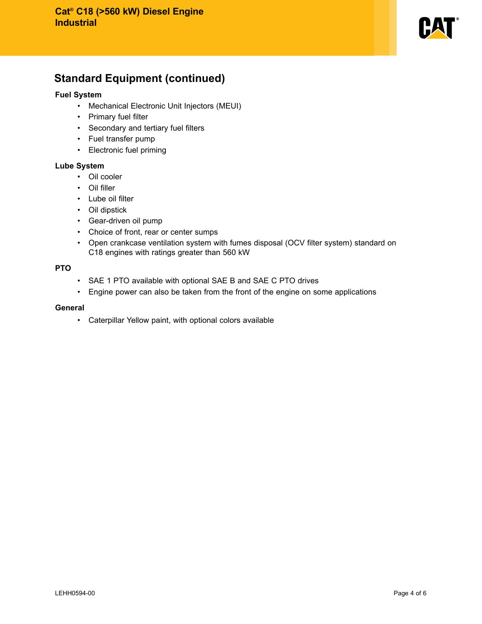

# **Standard Equipment (continued)**

## **Fuel System**

- Mechanical Electronic Unit Injectors (MEUI)
- Primary fuel filter
- Secondary and tertiary fuel filters
- Fuel transfer pump
- Electronic fuel priming

## **Lube System**

- Oil cooler
- Oil filler
- Lube oil filter
- Oil dipstick
- Gear-driven oil pump
- Choice of front, rear or center sumps
- Open crankcase ventilation system with fumes disposal (OCV filter system) standard on C18 engines with ratings greater than 560 kW

## **PTO**

- SAE 1 PTO available with optional SAE B and SAE C PTO drives
- Engine power can also be taken from the front of the engine on some applications

#### **General**

• Caterpillar Yellow paint, with optional colors available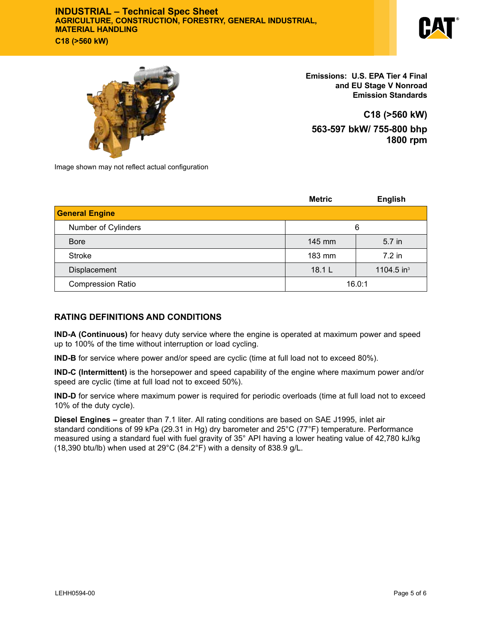## **INDUSTRIAL – Technical Spec Sheet AGRICULTURE, CONSTRUCTION, FORESTRY, GENERAL INDUSTRIAL, MATERIAL HANDLING C18 (>560 kW)**





**Emissions: U.S. EPA Tier 4 Final and EU Stage V Nonroad Emission Standards**

**C18 (>560 kW) 563-597 bkW/ 755-800 bhp 1800 rpm**

Image shown may not reflect actual configuration

|                          | <b>Metric</b> | <b>English</b>         |  |
|--------------------------|---------------|------------------------|--|
| <b>General Engine</b>    |               |                        |  |
| Number of Cylinders      | 6             |                        |  |
| <b>Bore</b>              | 145 mm        | 5.7 in                 |  |
| <b>Stroke</b>            | 183 mm        | $7.2$ in               |  |
| Displacement             | 18.1 L        | 1104.5 in <sup>3</sup> |  |
| <b>Compression Ratio</b> | 16.0:1        |                        |  |

## **RATING DEFINITIONS AND CONDITIONS**

**IND-A (Continuous)** for heavy duty service where the engine is operated at maximum power and speed up to 100% of the time without interruption or load cycling.

**IND-B** for service where power and/or speed are cyclic (time at full load not to exceed 80%).

**IND-C (Intermittent)** is the horsepower and speed capability of the engine where maximum power and/or speed are cyclic (time at full load not to exceed 50%).

**IND-D** for service where maximum power is required for periodic overloads (time at full load not to exceed 10% of the duty cycle).

**Diesel Engines –** greater than 7.1 liter. All rating conditions are based on SAE J1995, inlet air standard conditions of 99 kPa (29.31 in Hg) dry barometer and 25°C (77°F) temperature. Performance measured using a standard fuel with fuel gravity of 35° API having a lower heating value of 42,780 kJ/kg (18,390 btu/lb) when used at  $29^{\circ}$ C (84.2°F) with a density of 838.9 g/L.